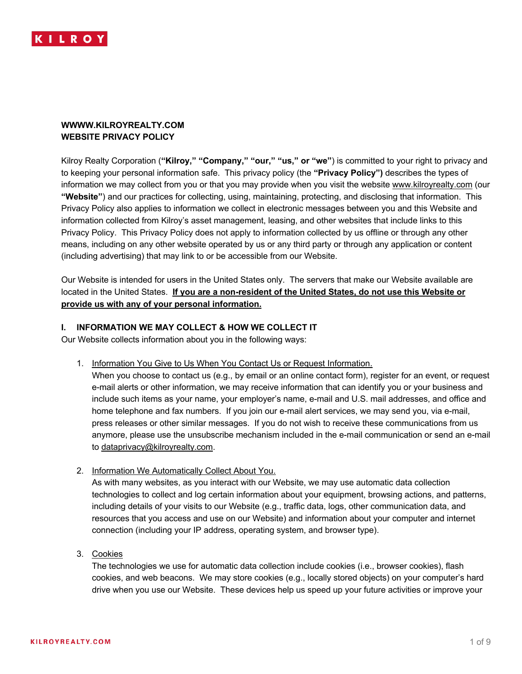

# **WWWW.KILROYREALTY.COM WEBSITE PRIVACY POLICY**

Kilroy Realty Corporation (**"Kilroy," "Company," "our," "us," or "we"**) is committed to your right to privacy and to keeping your personal information safe. This privacy policy (the **"Privacy Policy")** describes the types of information we may collect from you or that you may provide when you visit the website www.kilroyrealty.com (our **"Website"**) and our practices for collecting, using, maintaining, protecting, and disclosing that information. This Privacy Policy also applies to information we collect in electronic messages between you and this Website and information collected from Kilroy's asset management, leasing, and other websites that include links to this Privacy Policy. This Privacy Policy does not apply to information collected by us offline or through any other means, including on any other website operated by us or any third party or through any application or content (including advertising) that may link to or be accessible from our Website.

Our Website is intended for users in the United States only. The servers that make our Website available are located in the United States. **If you are a non-resident of the United States, do not use this Website or provide us with any of your personal information.**

# **I. INFORMATION WE MAY COLLECT & HOW WE COLLECT IT**

Our Website collects information about you in the following ways:

1. Information You Give to Us When You Contact Us or Request Information.

When you choose to contact us (e.g., by email or an online contact form), register for an event, or request e-mail alerts or other information, we may receive information that can identify you or your business and include such items as your name, your employer's name, e-mail and U.S. mail addresses, and office and home telephone and fax numbers. If you join our e-mail alert services, we may send you, via e-mail, press releases or other similar messages. If you do not wish to receive these communications from us anymore, please use the unsubscribe mechanism included in the e-mail communication or send an e-mail to dataprivacy@kilroyrealty.com.

2. Information We Automatically Collect About You.

As with many websites, as you interact with our Website, we may use automatic data collection technologies to collect and log certain information about your equipment, browsing actions, and patterns, including details of your visits to our Website (e.g., traffic data, logs, other communication data, and resources that you access and use on our Website) and information about your computer and internet connection (including your IP address, operating system, and browser type).

3. Cookies

The technologies we use for automatic data collection include cookies (i.e., browser cookies), flash cookies, and web beacons. We may store cookies (e.g., locally stored objects) on your computer's hard drive when you use our Website. These devices help us speed up your future activities or improve your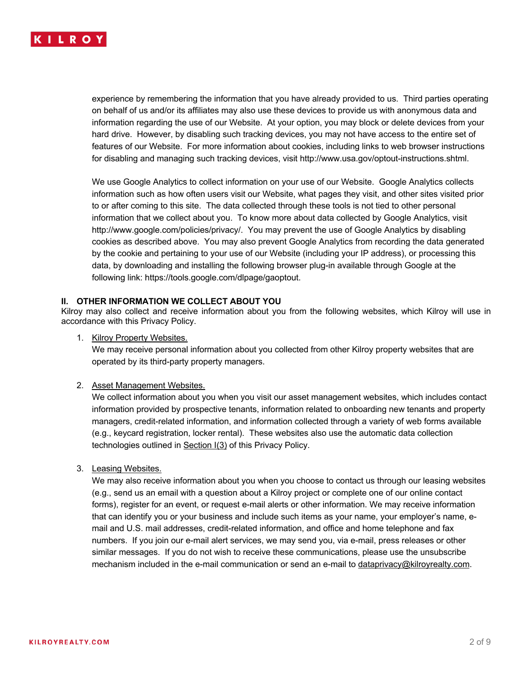

experience by remembering the information that you have already provided to us. Third parties operating on behalf of us and/or its affiliates may also use these devices to provide us with anonymous data and information regarding the use of our Website. At your option, you may block or delete devices from your hard drive. However, by disabling such tracking devices, you may not have access to the entire set of features of our Website. For more information about cookies, including links to web browser instructions for disabling and managing such tracking devices, visit http://www.usa.gov/optout-instructions.shtml.

We use Google Analytics to collect information on your use of our Website. Google Analytics collects information such as how often users visit our Website, what pages they visit, and other sites visited prior to or after coming to this site. The data collected through these tools is not tied to other personal information that we collect about you. To know more about data collected by Google Analytics, visit http://www.google.com/policies/privacy/. You may prevent the use of Google Analytics by disabling cookies as described above. You may also prevent Google Analytics from recording the data generated by the cookie and pertaining to your use of our Website (including your IP address), or processing this data, by downloading and installing the following browser plug-in available through Google at the following link: https://tools.google.com/dlpage/gaoptout.

### **II. OTHER INFORMATION WE COLLECT ABOUT YOU**

Kilroy may also collect and receive information about you from the following websites, which Kilroy will use in accordance with this Privacy Policy.

1. Kilroy Property Websites.

We may receive personal information about you collected from other Kilroy property websites that are operated by its third-party property managers.

#### 2. Asset Management Websites.

We collect information about you when you visit our asset management websites, which includes contact information provided by prospective tenants, information related to onboarding new tenants and property managers, credit-related information, and information collected through a variety of web forms available (e.g., keycard registration, locker rental). These websites also use the automatic data collection technologies outlined in Section I(3) of this Privacy Policy.

3. Leasing Websites.

We may also receive information about you when you choose to contact us through our leasing websites (e.g., send us an email with a question about a Kilroy project or complete one of our online contact forms), register for an event, or request e-mail alerts or other information. We may receive information that can identify you or your business and include such items as your name, your employer's name, email and U.S. mail addresses, credit-related information, and office and home telephone and fax numbers. If you join our e-mail alert services, we may send you, via e-mail, press releases or other similar messages. If you do not wish to receive these communications, please use the unsubscribe mechanism included in the e-mail communication or send an e-mail to dataprivacy@kilroyrealty.com.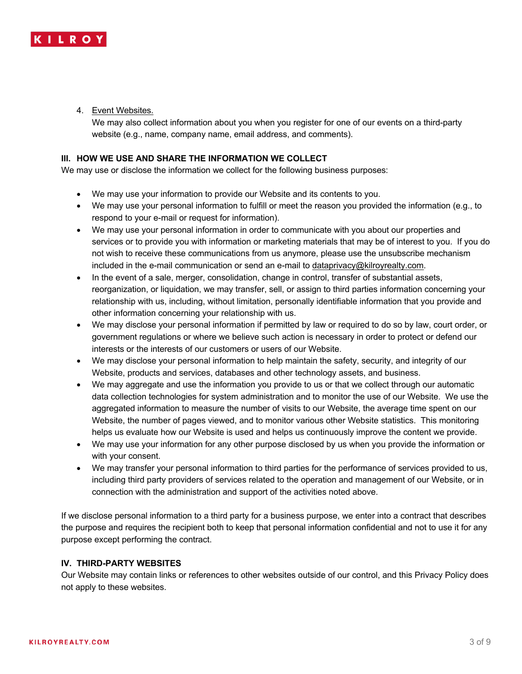

4. Event Websites.

We may also collect information about you when you register for one of our events on a third-party website (e.g., name, company name, email address, and comments).

### **III. HOW WE USE AND SHARE THE INFORMATION WE COLLECT**

We may use or disclose the information we collect for the following business purposes:

- We may use your information to provide our Website and its contents to you.
- We may use your personal information to fulfill or meet the reason you provided the information (e.g., to respond to your e-mail or request for information).
- We may use your personal information in order to communicate with you about our properties and services or to provide you with information or marketing materials that may be of interest to you. If you do not wish to receive these communications from us anymore, please use the unsubscribe mechanism included in the e-mail communication or send an e-mail to dataprivacy@kilroyrealty.com.
- In the event of a sale, merger, consolidation, change in control, transfer of substantial assets, reorganization, or liquidation, we may transfer, sell, or assign to third parties information concerning your relationship with us, including, without limitation, personally identifiable information that you provide and other information concerning your relationship with us.
- We may disclose your personal information if permitted by law or required to do so by law, court order, or government regulations or where we believe such action is necessary in order to protect or defend our interests or the interests of our customers or users of our Website.
- We may disclose your personal information to help maintain the safety, security, and integrity of our Website, products and services, databases and other technology assets, and business.
- We may aggregate and use the information you provide to us or that we collect through our automatic data collection technologies for system administration and to monitor the use of our Website. We use the aggregated information to measure the number of visits to our Website, the average time spent on our Website, the number of pages viewed, and to monitor various other Website statistics. This monitoring helps us evaluate how our Website is used and helps us continuously improve the content we provide.
- We may use your information for any other purpose disclosed by us when you provide the information or with your consent.
- We may transfer your personal information to third parties for the performance of services provided to us, including third party providers of services related to the operation and management of our Website, or in connection with the administration and support of the activities noted above.

If we disclose personal information to a third party for a business purpose, we enter into a contract that describes the purpose and requires the recipient both to keep that personal information confidential and not to use it for any purpose except performing the contract.

## **IV. THIRD-PARTY WEBSITES**

Our Website may contain links or references to other websites outside of our control, and this Privacy Policy does not apply to these websites.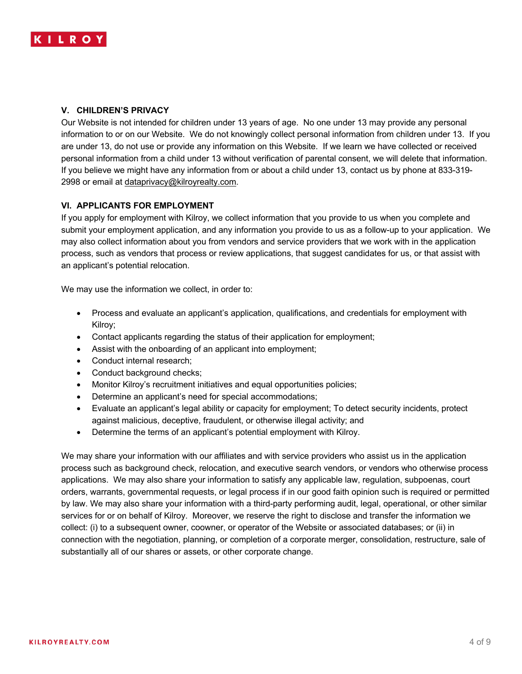

## **V. CHILDREN'S PRIVACY**

Our Website is not intended for children under 13 years of age. No one under 13 may provide any personal information to or on our Website. We do not knowingly collect personal information from children under 13. If you are under 13, do not use or provide any information on this Website. If we learn we have collected or received personal information from a child under 13 without verification of parental consent, we will delete that information. If you believe we might have any information from or about a child under 13, contact us by phone at 833-319- 2998 or email at dataprivacy@kilroyrealty.com.

## **VI. APPLICANTS FOR EMPLOYMENT**

If you apply for employment with Kilroy, we collect information that you provide to us when you complete and submit your employment application, and any information you provide to us as a follow-up to your application. We may also collect information about you from vendors and service providers that we work with in the application process, such as vendors that process or review applications, that suggest candidates for us, or that assist with an applicant's potential relocation.

We may use the information we collect, in order to:

- Process and evaluate an applicant's application, qualifications, and credentials for employment with Kilroy;
- Contact applicants regarding the status of their application for employment;
- Assist with the onboarding of an applicant into employment;
- Conduct internal research;
- Conduct background checks;
- Monitor Kilroy's recruitment initiatives and equal opportunities policies;
- Determine an applicant's need for special accommodations;
- Evaluate an applicant's legal ability or capacity for employment; To detect security incidents, protect against malicious, deceptive, fraudulent, or otherwise illegal activity; and
- Determine the terms of an applicant's potential employment with Kilroy.

We may share your information with our affiliates and with service providers who assist us in the application process such as background check, relocation, and executive search vendors, or vendors who otherwise process applications. We may also share your information to satisfy any applicable law, regulation, subpoenas, court orders, warrants, governmental requests, or legal process if in our good faith opinion such is required or permitted by law. We may also share your information with a third-party performing audit, legal, operational, or other similar services for or on behalf of Kilroy. Moreover, we reserve the right to disclose and transfer the information we collect: (i) to a subsequent owner, coowner, or operator of the Website or associated databases; or (ii) in connection with the negotiation, planning, or completion of a corporate merger, consolidation, restructure, sale of substantially all of our shares or assets, or other corporate change.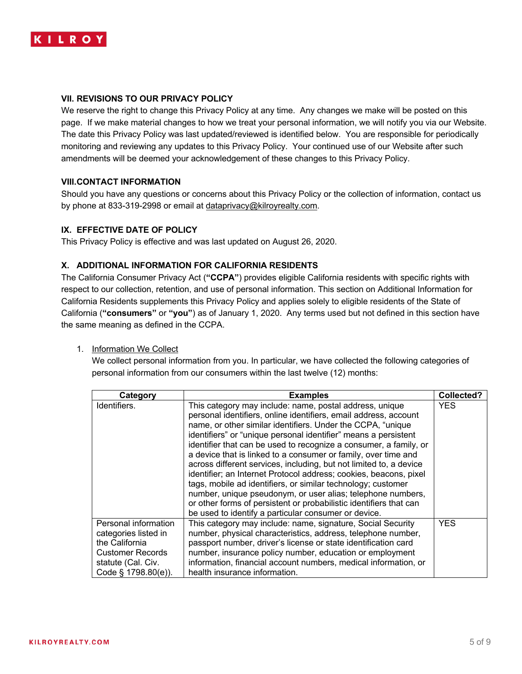

## **VII. REVISIONS TO OUR PRIVACY POLICY**

We reserve the right to change this Privacy Policy at any time. Any changes we make will be posted on this page. If we make material changes to how we treat your personal information, we will notify you via our Website. The date this Privacy Policy was last updated/reviewed is identified below. You are responsible for periodically monitoring and reviewing any updates to this Privacy Policy. Your continued use of our Website after such amendments will be deemed your acknowledgement of these changes to this Privacy Policy.

### **VIII.CONTACT INFORMATION**

Should you have any questions or concerns about this Privacy Policy or the collection of information, contact us by phone at 833-319-2998 or email at dataprivacy@kilroyrealty.com.

## **IX. EFFECTIVE DATE OF POLICY**

This Privacy Policy is effective and was last updated on August 26, 2020.

### **X. ADDITIONAL INFORMATION FOR CALIFORNIA RESIDENTS**

The California Consumer Privacy Act (**"CCPA"**) provides eligible California residents with specific rights with respect to our collection, retention, and use of personal information. This section on Additional Information for California Residents supplements this Privacy Policy and applies solely to eligible residents of the State of California (**"consumers"** or **"you"**) as of January 1, 2020. Any terms used but not defined in this section have the same meaning as defined in the CCPA.

#### 1. Information We Collect

We collect personal information from you. In particular, we have collected the following categories of personal information from our consumers within the last twelve (12) months:

| Category                | <b>Examples</b>                                                    | Collected? |
|-------------------------|--------------------------------------------------------------------|------------|
| Identifiers.            | This category may include: name, postal address, unique            | <b>YES</b> |
|                         | personal identifiers, online identifiers, email address, account   |            |
|                         | name, or other similar identifiers. Under the CCPA, "unique        |            |
|                         | identifiers" or "unique personal identifier" means a persistent    |            |
|                         | identifier that can be used to recognize a consumer, a family, or  |            |
|                         | a device that is linked to a consumer or family, over time and     |            |
|                         | across different services, including, but not limited to, a device |            |
|                         | identifier; an Internet Protocol address; cookies, beacons, pixel  |            |
|                         | tags, mobile ad identifiers, or similar technology; customer       |            |
|                         | number, unique pseudonym, or user alias; telephone numbers,        |            |
|                         | or other forms of persistent or probabilistic identifiers that can |            |
|                         | be used to identify a particular consumer or device.               |            |
| Personal information    | This category may include: name, signature, Social Security        | <b>YES</b> |
| categories listed in    | number, physical characteristics, address, telephone number,       |            |
| the California          | passport number, driver's license or state identification card     |            |
| <b>Customer Records</b> | number, insurance policy number, education or employment           |            |
| statute (Cal. Civ.      | information, financial account numbers, medical information, or    |            |
| Code § 1798.80(e)).     | health insurance information.                                      |            |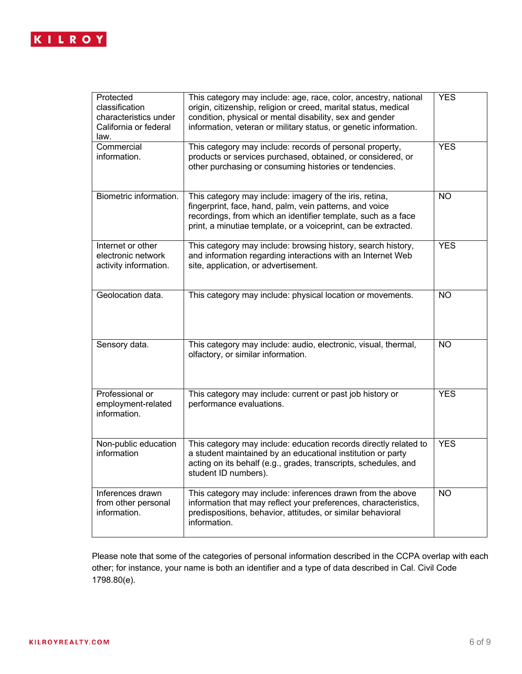

| Protected<br>classification<br>characteristics under<br>California or federal<br>law. | This category may include: age, race, color, ancestry, national<br>origin, citizenship, religion or creed, marital status, medical<br>condition, physical or mental disability, sex and gender<br>information, veteran or military status, or genetic information. | <b>YES</b> |
|---------------------------------------------------------------------------------------|--------------------------------------------------------------------------------------------------------------------------------------------------------------------------------------------------------------------------------------------------------------------|------------|
| Commercial<br>information.                                                            | This category may include: records of personal property,<br>products or services purchased, obtained, or considered, or<br>other purchasing or consuming histories or tendencies.                                                                                  | <b>YES</b> |
| Biometric information.                                                                | This category may include: imagery of the iris, retina,<br>fingerprint, face, hand, palm, vein patterns, and voice<br>recordings, from which an identifier template, such as a face<br>print, a minutiae template, or a voiceprint, can be extracted.              | <b>NO</b>  |
| Internet or other<br>electronic network<br>activity information.                      | This category may include: browsing history, search history,<br>and information regarding interactions with an Internet Web<br>site, application, or advertisement.                                                                                                | <b>YES</b> |
| Geolocation data.                                                                     | This category may include: physical location or movements.                                                                                                                                                                                                         | <b>NO</b>  |
| Sensory data.                                                                         | This category may include: audio, electronic, visual, thermal,<br>olfactory, or similar information.                                                                                                                                                               | <b>NO</b>  |
| Professional or<br>employment-related<br>information.                                 | This category may include: current or past job history or<br>performance evaluations.                                                                                                                                                                              | <b>YES</b> |
| Non-public education<br>information                                                   | This category may include: education records directly related to<br>a student maintained by an educational institution or party<br>acting on its behalf (e.g., grades, transcripts, schedules, and<br>student ID numbers).                                         | <b>YES</b> |
| Inferences drawn<br>from other personal<br>information.                               | This category may include: inferences drawn from the above<br>information that may reflect your preferences, characteristics,<br>predispositions, behavior, attitudes, or similar behavioral<br>information.                                                       | <b>NO</b>  |

Please note that some of the categories of personal information described in the CCPA overlap with each other; for instance, your name is both an identifier and a type of data described in Cal. Civil Code 1798.80(e).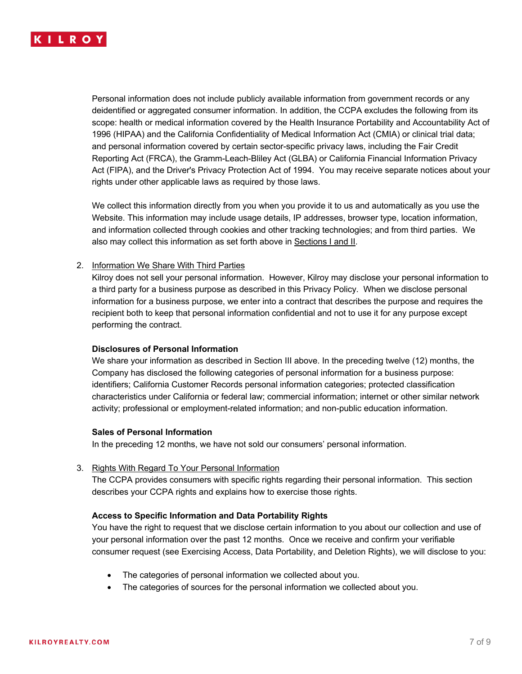

Personal information does not include publicly available information from government records or any deidentified or aggregated consumer information. In addition, the CCPA excludes the following from its scope: health or medical information covered by the Health Insurance Portability and Accountability Act of 1996 (HIPAA) and the California Confidentiality of Medical Information Act (CMIA) or clinical trial data; and personal information covered by certain sector-specific privacy laws, including the Fair Credit Reporting Act (FRCA), the Gramm-Leach-Bliley Act (GLBA) or California Financial Information Privacy Act (FIPA), and the Driver's Privacy Protection Act of 1994. You may receive separate notices about your rights under other applicable laws as required by those laws.

We collect this information directly from you when you provide it to us and automatically as you use the Website. This information may include usage details, IP addresses, browser type, location information, and information collected through cookies and other tracking technologies; and from third parties. We also may collect this information as set forth above in Sections I and II.

## 2. Information We Share With Third Parties

Kilroy does not sell your personal information. However, Kilroy may disclose your personal information to a third party for a business purpose as described in this Privacy Policy. When we disclose personal information for a business purpose, we enter into a contract that describes the purpose and requires the recipient both to keep that personal information confidential and not to use it for any purpose except performing the contract.

#### **Disclosures of Personal Information**

We share your information as described in Section III above. In the preceding twelve (12) months, the Company has disclosed the following categories of personal information for a business purpose: identifiers; California Customer Records personal information categories; protected classification characteristics under California or federal law; commercial information; internet or other similar network activity; professional or employment-related information; and non-public education information.

#### **Sales of Personal Information**

In the preceding 12 months, we have not sold our consumers' personal information.

#### 3. Rights With Regard To Your Personal Information

The CCPA provides consumers with specific rights regarding their personal information. This section describes your CCPA rights and explains how to exercise those rights.

#### **Access to Specific Information and Data Portability Rights**

You have the right to request that we disclose certain information to you about our collection and use of your personal information over the past 12 months. Once we receive and confirm your verifiable consumer request (see Exercising Access, Data Portability, and Deletion Rights), we will disclose to you:

- The categories of personal information we collected about you.
- The categories of sources for the personal information we collected about you.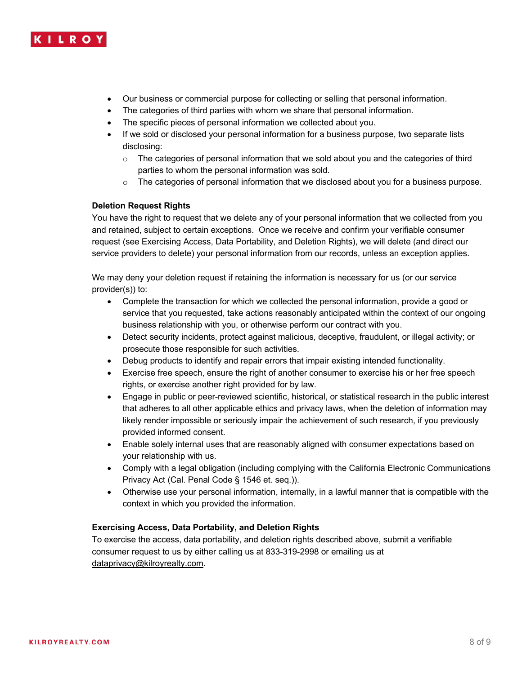

- Our business or commercial purpose for collecting or selling that personal information.
- The categories of third parties with whom we share that personal information.
- The specific pieces of personal information we collected about you.
- If we sold or disclosed your personal information for a business purpose, two separate lists disclosing:
	- o The categories of personal information that we sold about you and the categories of third parties to whom the personal information was sold.
	- $\circ$  The categories of personal information that we disclosed about you for a business purpose.

## **Deletion Request Rights**

You have the right to request that we delete any of your personal information that we collected from you and retained, subject to certain exceptions. Once we receive and confirm your verifiable consumer request (see Exercising Access, Data Portability, and Deletion Rights), we will delete (and direct our service providers to delete) your personal information from our records, unless an exception applies.

We may deny your deletion request if retaining the information is necessary for us (or our service provider(s)) to:

- Complete the transaction for which we collected the personal information, provide a good or service that you requested, take actions reasonably anticipated within the context of our ongoing business relationship with you, or otherwise perform our contract with you.
- Detect security incidents, protect against malicious, deceptive, fraudulent, or illegal activity; or prosecute those responsible for such activities.
- Debug products to identify and repair errors that impair existing intended functionality.
- Exercise free speech, ensure the right of another consumer to exercise his or her free speech rights, or exercise another right provided for by law.
- Engage in public or peer-reviewed scientific, historical, or statistical research in the public interest that adheres to all other applicable ethics and privacy laws, when the deletion of information may likely render impossible or seriously impair the achievement of such research, if you previously provided informed consent.
- Enable solely internal uses that are reasonably aligned with consumer expectations based on your relationship with us.
- Comply with a legal obligation (including complying with the California Electronic Communications Privacy Act (Cal. Penal Code § 1546 et. seq.)).
- Otherwise use your personal information, internally, in a lawful manner that is compatible with the context in which you provided the information.

#### **Exercising Access, Data Portability, and Deletion Rights**

To exercise the access, data portability, and deletion rights described above, submit a verifiable consumer request to us by either calling us at 833-319-2998 or emailing us at dataprivacy@kilroyrealty.com.